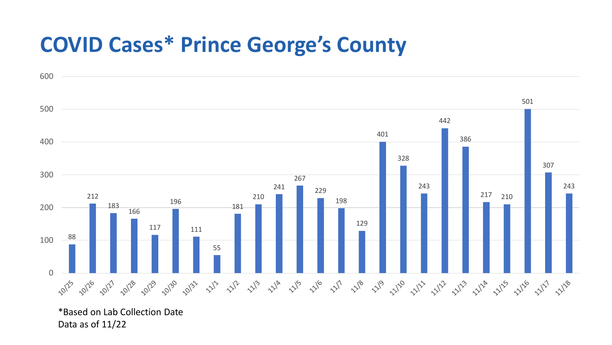## **COVID Cases\* Prince George's County**



\*Based on Lab Collection Date Data as of 11/22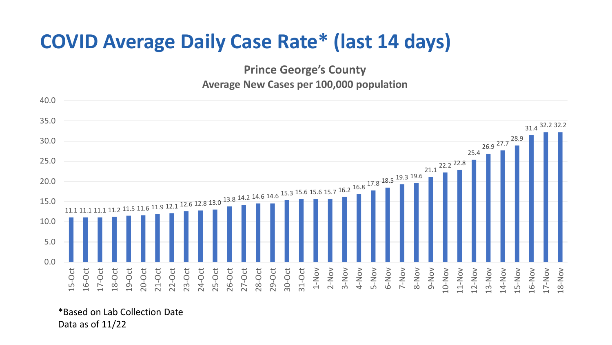## **COVID Average Daily Case Rate\* (last 14 days)**

**Prince George's County Average New Cases per 100,000 population**



\*Based on Lab Collection Date Data as of 11/22